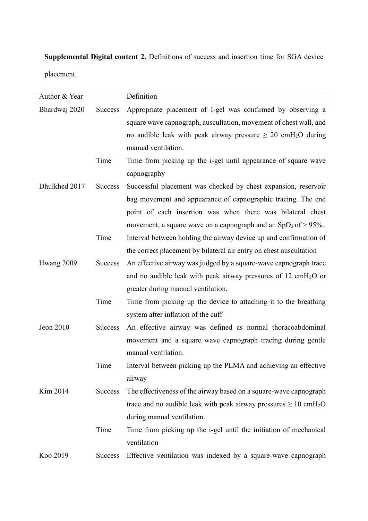**Supplemental Digital content 2.** Definitions of success and insertion time for SGA device placement.

| Author & Year |                | Definition                                                                                 |
|---------------|----------------|--------------------------------------------------------------------------------------------|
| Bhardwaj 2020 | <b>Success</b> | Appropriate placement of I-gel was confirmed by observing a                                |
|               |                | square wave capnograph, auscultation, movement of chest wall, and                          |
|               |                | no audible leak with peak airway pressure $\geq 20$ cmH <sub>2</sub> O during              |
|               |                | manual ventilation.                                                                        |
|               | Time           | Time from picking up the i-gel until appearance of square wave                             |
|               |                | capnography                                                                                |
| Dhulkhed 2017 | <b>Success</b> | Successful placement was checked by chest expansion, reservoir                             |
|               |                | bag movement and appearance of capnographic tracing. The end                               |
|               |                | point of each insertion was when there was bilateral chest                                 |
|               |                | movement, a square wave on a capnograph and an $SpO2$ of $> 95%$ .                         |
|               | Time           | Interval between holding the airway device up and confirmation of                          |
|               |                | the correct placement by bilateral air entry on chest auscultation                         |
| Hwang 2009    | <b>Success</b> | An effective airway was judged by a square-wave capnograph trace                           |
|               |                | and no audible leak with peak airway pressures of $12 \text{ cm}H_2O$ or                   |
|               |                | greater during manual ventilation.                                                         |
|               | Time           | Time from picking up the device to attaching it to the breathing                           |
|               |                | system after inflation of the cuff                                                         |
| Jeon 2010     | <b>Success</b> | An effective airway was defined as normal thoracoabdominal                                 |
|               |                | movement and a square wave capnograph tracing during gentle                                |
|               |                | manual ventilation.                                                                        |
|               | Time           | Interval between picking up the PLMA and achieving an effective                            |
|               |                | airway                                                                                     |
| Kim 2014      | <b>Success</b> | The effectiveness of the airway based on a square-wave capnograph                          |
|               |                | trace and no audible leak with peak airway pressures $\geq 10 \text{ cm}$ H <sub>2</sub> O |
|               |                | during manual ventilation.                                                                 |
|               | Time           | Time from picking up the i-gel until the initiation of mechanical                          |
|               |                | ventilation                                                                                |
| Koo 2019      | <b>Success</b> | Effective ventilation was indexed by a square-wave capnograph                              |